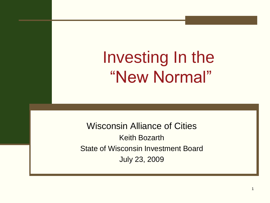Investing In the "New Normal"

Wisconsin Alliance of Cities Keith Bozarth State of Wisconsin Investment Board July 23, 2009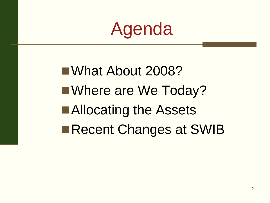# Agenda

■What About 2008? ■Where are We Today? ■Allocating the Assets Recent Changes at SWIB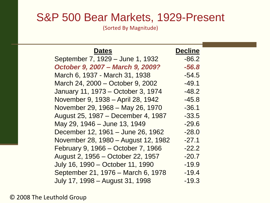#### S&P 500 Bear Markets, 1929-Present

(Sorted By Magnitude)

| <b>Dates</b>                        | <b>Decline</b> |  |
|-------------------------------------|----------------|--|
| September 7, 1929 - June 1, 1932    | $-86.2$        |  |
| October 9, 2007 - March 9, 2009?    | $-56.8$        |  |
| March 6, 1937 - March 31, 1938      | $-54.5$        |  |
| March 24, 2000 – October 9, 2002    | $-49.1$        |  |
| January 11, 1973 – October 3, 1974  | $-48.2$        |  |
| November 9, 1938 – April 28, 1942   | $-45.8$        |  |
| November 29, 1968 - May 26, 1970    | $-36.1$        |  |
| August 25, 1987 – December 4, 1987  | $-33.5$        |  |
| May 29, 1946 – June 13, 1949        | $-29.6$        |  |
| December 12, 1961 – June 26, 1962   | $-28.0$        |  |
| November 28, 1980 – August 12, 1982 | $-27.1$        |  |
| February 9, 1966 – October 7, 1966  | $-22.2$        |  |
| August 2, 1956 – October 22, 1957   | $-20.7$        |  |
| July 16, 1990 – October 11, 1990    | $-19.9$        |  |
| September 21, 1976 - March 6, 1978  | $-19.4$        |  |
| July 17, 1998 – August 31, 1998     | $-19.3$        |  |

© 2008 The Leuthold Group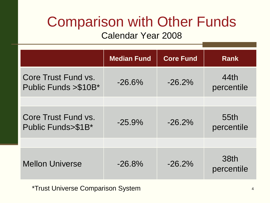### Comparison with Other Funds

#### Calendar Year 2008

|                                              | <b>Median Fund</b> | <b>Core Fund</b> | <b>Rank</b>        |
|----------------------------------------------|--------------------|------------------|--------------------|
| Core Trust Fund vs.<br>Public Funds > \$10B* | $-26.6\%$          | $-26.2\%$        | 44th<br>percentile |
|                                              |                    |                  |                    |
| Core Trust Fund vs.<br>Public Funds>\$1B*    | $-25.9%$           | $-26.2%$         | 55th<br>percentile |
|                                              |                    |                  |                    |
| <b>Mellon Universe</b>                       | $-26.8\%$          | $-26.2\%$        | 38th<br>percentile |

\*Trust Universe Comparison System <sup>4</sup>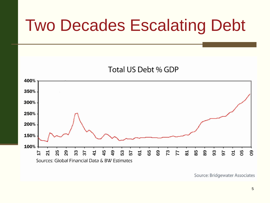## Two Decades Escalating Debt





Source: Bridgewater Associates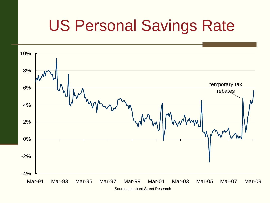## US Personal Savings Rate



Source: Lombard Street Research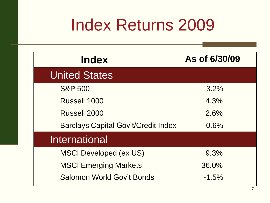## Index Returns 2009

| <b>Index</b>                               | As of 6/30/09 |
|--------------------------------------------|---------------|
| <b>United States</b>                       |               |
| <b>S&amp;P 500</b>                         | 3.2%          |
| Russell 1000                               | 4.3%          |
| Russell 2000                               | 2.6%          |
| <b>Barclays Capital Gov't/Credit Index</b> | 0.6%          |
| <b>International</b>                       |               |
| <b>MSCI Developed (ex US)</b>              | 9.3%          |
| <b>MSCI Emerging Markets</b>               | 36.0%         |
| Salomon World Gov't Bonds                  | $-1.5\%$      |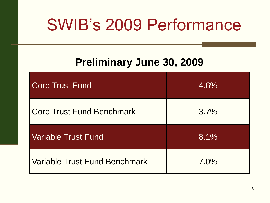## SWIB's 2009 Performance

#### **Preliminary June 30, 2009**

| Core Trust Fund                      | 4.6%    |
|--------------------------------------|---------|
| <b>Core Trust Fund Benchmark</b>     | 3.7%    |
| <b>Variable Trust Fund</b>           | 8.1%    |
| <b>Variable Trust Fund Benchmark</b> | $7.0\%$ |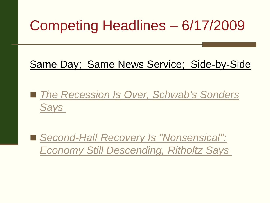### Competing Headlines – 6/17/2009

#### Same Day; Same News Service; Side-by-Sid[e](http://us.rd.yahoo.com/finance/news/rss/story;_ylc=X3oDMTI1Z2k1cHRmBFJfYWlkAwRSX2RtbgN5YWhvby5jb20EUl9maWQDOTE2MGE5OWY5ODg2NzNjYjkwMzExZmNhNjBjYzgyZGEEUl9sdHADMQ--/*http:/finance.yahoo.com/tech-ticker/article/265253/The-Recession-Is-Over,-Schwabs-Sonders-Says)

■ *[The Recession Is Over, Schwab's Sonders](http://us.rd.yahoo.com/finance/news/rss/story;_ylc=X3oDMTI1Z2k1cHRmBFJfYWlkAwRSX2RtbgN5YWhvby5jb20EUl9maWQDOTE2MGE5OWY5ODg2NzNjYjkwMzExZmNhNjBjYzgyZGEEUl9sdHADMQ--/*http:/finance.yahoo.com/tech-ticker/article/265253/The-Recession-Is-Over,-Schwabs-Sonders-Says) [Says](http://us.rd.yahoo.com/finance/news/rss/story;_ylc=X3oDMTI1Z2k1cHRmBFJfYWlkAwRSX2RtbgN5YWhvby5jb20EUl9maWQDOTE2MGE5OWY5ODg2NzNjYjkwMzExZmNhNjBjYzgyZGEEUl9sdHADMQ--/*http:/finance.yahoo.com/tech-ticker/article/265253/The-Recession-Is-Over,-Schwabs-Sonders-Says)* 

■ *Second-Half Recovery Is "Nonsensical": [Economy Still Descending, Ritholtz](http://us.rd.yahoo.com/finance/news/rss/story;_ylc=X3oDMTI1Z2k1cHRmBFJfYWlkAwRSX2RtbgN5YWhvby5jb20EUl9maWQDOTE2MGE5OWY5ODg2NzNjYjkwMzExZmNhNjBjYzgyZGEEUl9sdHADMQ--/*http:/finance.yahoo.com/tech-ticker/article/264809/Second-Half-Recovery-Is-"Nonsensical":-Economy-Still-Descending,-Ritholtz-Says) [Says](http://us.rd.yahoo.com/finance/news/rss/story;_ylc=X3oDMTI1Z2k1cHRmBFJfYWlkAwRSX2RtbgN5YWhvby5jb20EUl9maWQDOTE2MGE5OWY5ODg2NzNjYjkwMzExZmNhNjBjYzgyZGEEUl9sdHADMQ--/*http:/finance.yahoo.com/tech-ticker/article/264809/Second-Half-Recovery-Is-"Nonsensical":-Economy-Still-Descending,-Ritholtz-Says)*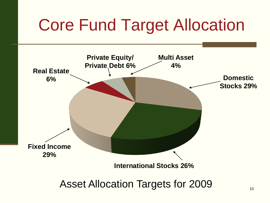## Core Fund Target Allocation

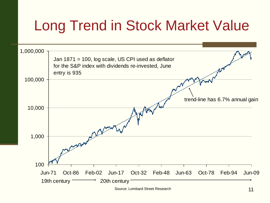### Long Trend in Stock Market Value



Source: Lombard Street Research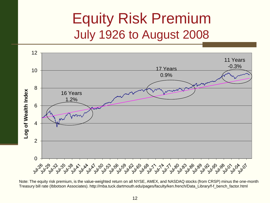#### Equity Risk Premium July 1926 to August 2008



Note: The equity risk premium, is the value-weighted return on all NYSE, AMEX, and NASDAQ stocks (from CRSP) minus the one-month Treasury bill rate (Ibbotson Associates). http://mba.tuck.dartmouth.edu/pages/faculty/ken.french/Data\_Library/f-f\_bench\_factor.html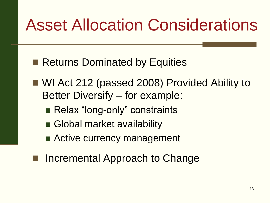## Asset Allocation Considerations

- Returns Dominated by Equities
- WI Act 212 (passed 2008) Provided Ability to Better Diversify – for example:
	- Relax "long-only" constraints
	- Global market availability
	- Active currency management
- Incremental Approach to Change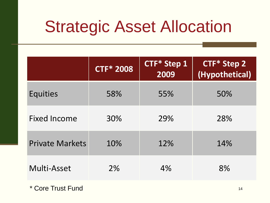## Strategic Asset Allocation

|                        | <b>CTF* 2008</b> | <b>CTF* Step 1</b><br>2009 | <b>CTF* Step 2</b><br>(Hypothetical) |
|------------------------|------------------|----------------------------|--------------------------------------|
| <b>Equities</b>        | 58%              | 55%                        | 50%                                  |
| <b>Fixed Income</b>    | 30%              | 29%                        | 28%                                  |
| <b>Private Markets</b> | 10%              | 12%                        | 14%                                  |
| Multi-Asset            | 2%               | 4%                         | 8%                                   |

\* Core Trust Fund 14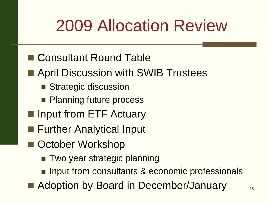## 2009 Allocation Review

- Consultant Round Table
- **April Discussion with SWIB Trustees** 
	- **Strategic discussion**
	- **Planning future process**
- **I** Input from ETF Actuary
- **Further Analytical Input**
- October Workshop
	- Two year strategic planning
	- **Input from consultants & economic professionals**
- $\blacksquare$  Adoption by Board in December/January  $\blacksquare$